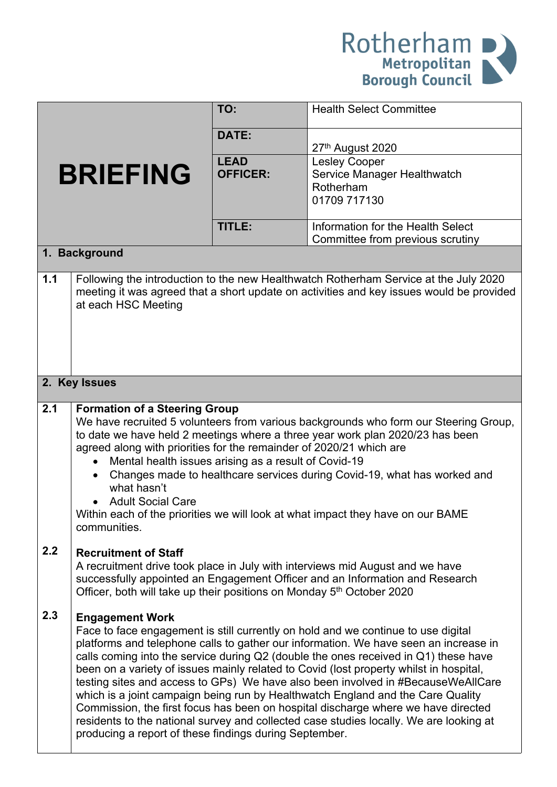

|                 |                                                                                                                                                                                                                                                                                                                                                                                                                                                                                                                                                                                                                                                                                                                                                                                                      | TO:                            | <b>Health Select Committee</b>                                                   |  |  |  |
|-----------------|------------------------------------------------------------------------------------------------------------------------------------------------------------------------------------------------------------------------------------------------------------------------------------------------------------------------------------------------------------------------------------------------------------------------------------------------------------------------------------------------------------------------------------------------------------------------------------------------------------------------------------------------------------------------------------------------------------------------------------------------------------------------------------------------------|--------------------------------|----------------------------------------------------------------------------------|--|--|--|
|                 |                                                                                                                                                                                                                                                                                                                                                                                                                                                                                                                                                                                                                                                                                                                                                                                                      | DATE:                          | 27th August 2020                                                                 |  |  |  |
| <b>BRIEFING</b> |                                                                                                                                                                                                                                                                                                                                                                                                                                                                                                                                                                                                                                                                                                                                                                                                      | <b>LEAD</b><br><b>OFFICER:</b> | <b>Lesley Cooper</b><br>Service Manager Healthwatch<br>Rotherham<br>01709 717130 |  |  |  |
|                 |                                                                                                                                                                                                                                                                                                                                                                                                                                                                                                                                                                                                                                                                                                                                                                                                      | <b>TITLE:</b>                  | Information for the Health Select<br>Committee from previous scrutiny            |  |  |  |
|                 | 1. Background                                                                                                                                                                                                                                                                                                                                                                                                                                                                                                                                                                                                                                                                                                                                                                                        |                                |                                                                                  |  |  |  |
| $1.1$           | Following the introduction to the new Healthwatch Rotherham Service at the July 2020<br>meeting it was agreed that a short update on activities and key issues would be provided<br>at each HSC Meeting                                                                                                                                                                                                                                                                                                                                                                                                                                                                                                                                                                                              |                                |                                                                                  |  |  |  |
| 2. Key Issues   |                                                                                                                                                                                                                                                                                                                                                                                                                                                                                                                                                                                                                                                                                                                                                                                                      |                                |                                                                                  |  |  |  |
| 2.1             | <b>Formation of a Steering Group</b><br>We have recruited 5 volunteers from various backgrounds who form our Steering Group,<br>to date we have held 2 meetings where a three year work plan 2020/23 has been<br>agreed along with priorities for the remainder of 2020/21 which are<br>Mental health issues arising as a result of Covid-19<br>Changes made to healthcare services during Covid-19, what has worked and<br>what hasn't<br><b>Adult Social Care</b><br>Within each of the priorities we will look at what impact they have on our BAME<br>communities.                                                                                                                                                                                                                               |                                |                                                                                  |  |  |  |
| 2.2             | <b>Recruitment of Staff</b><br>A recruitment drive took place in July with interviews mid August and we have<br>successfully appointed an Engagement Officer and an Information and Research<br>Officer, both will take up their positions on Monday 5 <sup>th</sup> October 2020                                                                                                                                                                                                                                                                                                                                                                                                                                                                                                                    |                                |                                                                                  |  |  |  |
| 2.3             | <b>Engagement Work</b><br>Face to face engagement is still currently on hold and we continue to use digital<br>platforms and telephone calls to gather our information. We have seen an increase in<br>calls coming into the service during Q2 (double the ones received in Q1) these have<br>been on a variety of issues mainly related to Covid (lost property whilst in hospital,<br>testing sites and access to GPs) We have also been involved in #BecauseWeAllCare<br>which is a joint campaign being run by Healthwatch England and the Care Quality<br>Commission, the first focus has been on hospital discharge where we have directed<br>residents to the national survey and collected case studies locally. We are looking at<br>producing a report of these findings during September. |                                |                                                                                  |  |  |  |